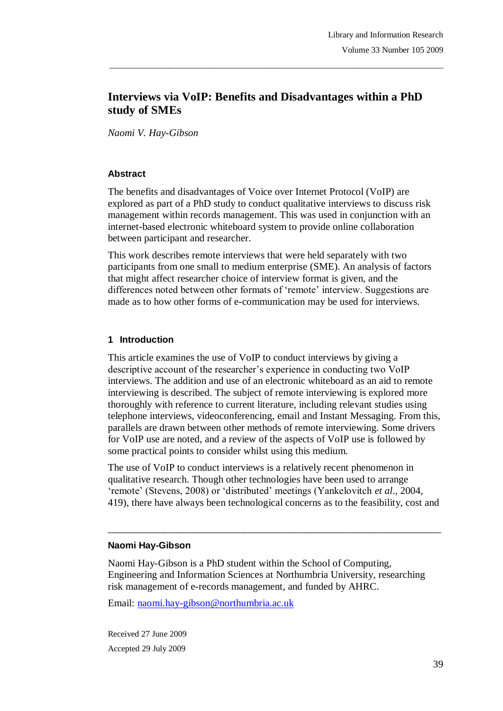# **Interviews via VoIP: Benefits and Disadvantages within a PhD study of SMEs**

\_\_\_\_\_\_\_\_\_\_\_\_\_\_\_\_\_\_\_\_\_\_\_\_\_\_\_\_\_\_\_\_\_\_\_\_\_\_\_\_\_\_\_\_\_\_\_\_\_\_\_\_\_\_\_\_\_\_\_\_\_\_\_\_\_\_\_\_\_\_\_\_\_\_\_\_\_\_\_

*Naomi V. Hay-Gibson* 

#### **Abstract**

The benefits and disadvantages of Voice over Internet Protocol (VoIP) are explored as part of a PhD study to conduct qualitative interviews to discuss risk management within records management. This was used in conjunction with an internet-based electronic whiteboard system to provide online collaboration between participant and researcher.

This work describes remote interviews that were held separately with two participants from one small to medium enterprise (SME). An analysis of factors that might affect researcher choice of interview format is given, and the differences noted between other formats of 'remote' interview. Suggestions are made as to how other forms of e-communication may be used for interviews.

## **1 Introduction**

This article examines the use of VoIP to conduct interviews by giving a descriptive account of the researcher's experience in conducting two VoIP interviews. The addition and use of an electronic whiteboard as an aid to remote interviewing is described. The subject of remote interviewing is explored more thoroughly with reference to current literature, including relevant studies using telephone interviews, videoconferencing, email and Instant Messaging. From this, parallels are drawn between other methods of remote interviewing. Some drivers for VoIP use are noted, and a review of the aspects of VoIP use is followed by some practical points to consider whilst using this medium.

The use of VoIP to conduct interviews is a relatively recent phenomenon in qualitative research. Though other technologies have been used to arrange ‗remote' (Stevens, 2008) or ‗distributed' meetings (Yankelovitch *et al*., 2004, 419), there have always been technological concerns as to the feasibility, cost and

 $\_$  ,  $\_$  ,  $\_$  ,  $\_$  ,  $\_$  ,  $\_$  ,  $\_$  ,  $\_$  ,  $\_$  ,  $\_$  ,  $\_$  ,  $\_$  ,  $\_$  ,  $\_$  ,  $\_$  ,  $\_$  ,  $\_$  ,  $\_$  ,  $\_$ 

#### **Naomi Hay-Gibson**

Naomi Hay-Gibson is a PhD student within the School of Computing, Engineering and Information Sciences at Northumbria University, researching risk management of e-records management, and funded by AHRC.

Email: naomi.hay-gibson@northumbria.ac.uk

Received 27 June 2009 Accepted 29 July 2009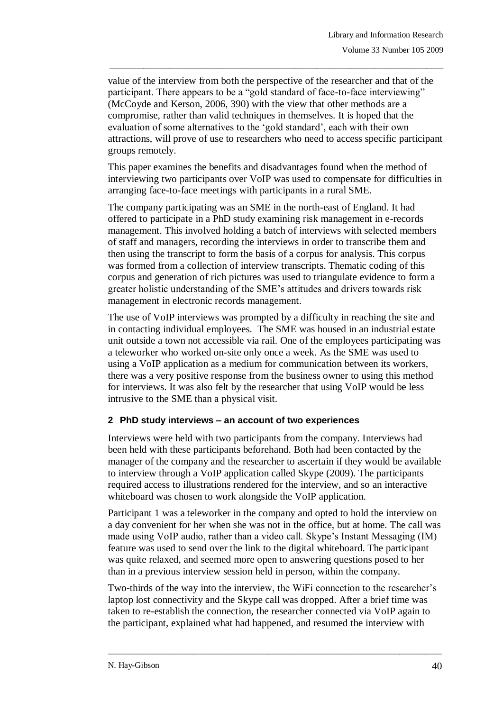value of the interview from both the perspective of the researcher and that of the participant. There appears to be a "gold standard of face-to-face interviewing" (McCoyde and Kerson, 2006, 390) with the view that other methods are a compromise, rather than valid techniques in themselves. It is hoped that the evaluation of some alternatives to the 'gold standard', each with their own attractions, will prove of use to researchers who need to access specific participant groups remotely.

\_\_\_\_\_\_\_\_\_\_\_\_\_\_\_\_\_\_\_\_\_\_\_\_\_\_\_\_\_\_\_\_\_\_\_\_\_\_\_\_\_\_\_\_\_\_\_\_\_\_\_\_\_\_\_\_\_\_\_\_\_\_\_\_\_\_\_\_\_\_\_\_\_\_\_\_\_\_\_

This paper examines the benefits and disadvantages found when the method of interviewing two participants over VoIP was used to compensate for difficulties in arranging face-to-face meetings with participants in a rural SME.

The company participating was an SME in the north-east of England. It had offered to participate in a PhD study examining risk management in e-records management. This involved holding a batch of interviews with selected members of staff and managers, recording the interviews in order to transcribe them and then using the transcript to form the basis of a corpus for analysis. This corpus was formed from a collection of interview transcripts. Thematic coding of this corpus and generation of rich pictures was used to triangulate evidence to form a greater holistic understanding of the SME's attitudes and drivers towards risk management in electronic records management.

The use of VoIP interviews was prompted by a difficulty in reaching the site and in contacting individual employees. The SME was housed in an industrial estate unit outside a town not accessible via rail. One of the employees participating was a teleworker who worked on-site only once a week. As the SME was used to using a VoIP application as a medium for communication between its workers, there was a very positive response from the business owner to using this method for interviews. It was also felt by the researcher that using VoIP would be less intrusive to the SME than a physical visit.

## **2 PhD study interviews – an account of two experiences**

Interviews were held with two participants from the company. Interviews had been held with these participants beforehand. Both had been contacted by the manager of the company and the researcher to ascertain if they would be available to interview through a VoIP application called Skype (2009). The participants required access to illustrations rendered for the interview, and so an interactive whiteboard was chosen to work alongside the VoIP application.

Participant 1 was a teleworker in the company and opted to hold the interview on a day convenient for her when she was not in the office, but at home. The call was made using VoIP audio, rather than a video call. Skype's Instant Messaging (IM) feature was used to send over the link to the digital whiteboard. The participant was quite relaxed, and seemed more open to answering questions posed to her than in a previous interview session held in person, within the company.

Two-thirds of the way into the interview, the WiFi connection to the researcher's laptop lost connectivity and the Skype call was dropped. After a brief time was taken to re-establish the connection, the researcher connected via VoIP again to the participant, explained what had happened, and resumed the interview with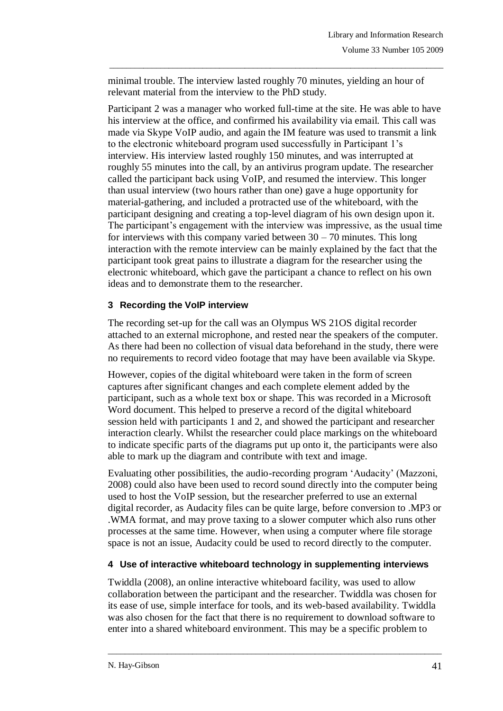minimal trouble. The interview lasted roughly 70 minutes, yielding an hour of relevant material from the interview to the PhD study.

\_\_\_\_\_\_\_\_\_\_\_\_\_\_\_\_\_\_\_\_\_\_\_\_\_\_\_\_\_\_\_\_\_\_\_\_\_\_\_\_\_\_\_\_\_\_\_\_\_\_\_\_\_\_\_\_\_\_\_\_\_\_\_\_\_\_\_\_\_\_\_\_\_\_\_\_\_\_\_

Participant 2 was a manager who worked full-time at the site. He was able to have his interview at the office, and confirmed his availability via email. This call was made via Skype VoIP audio, and again the IM feature was used to transmit a link to the electronic whiteboard program used successfully in Participant 1's interview. His interview lasted roughly 150 minutes, and was interrupted at roughly 55 minutes into the call, by an antivirus program update. The researcher called the participant back using VoIP, and resumed the interview. This longer than usual interview (two hours rather than one) gave a huge opportunity for material-gathering, and included a protracted use of the whiteboard, with the participant designing and creating a top-level diagram of his own design upon it. The participant's engagement with the interview was impressive, as the usual time for interviews with this company varied between  $30 - 70$  minutes. This long interaction with the remote interview can be mainly explained by the fact that the participant took great pains to illustrate a diagram for the researcher using the electronic whiteboard, which gave the participant a chance to reflect on his own ideas and to demonstrate them to the researcher.

## **3 Recording the VoIP interview**

The recording set-up for the call was an Olympus WS 21OS digital recorder attached to an external microphone, and rested near the speakers of the computer. As there had been no collection of visual data beforehand in the study, there were no requirements to record video footage that may have been available via Skype.

However, copies of the digital whiteboard were taken in the form of screen captures after significant changes and each complete element added by the participant, such as a whole text box or shape. This was recorded in a Microsoft Word document. This helped to preserve a record of the digital whiteboard session held with participants 1 and 2, and showed the participant and researcher interaction clearly. Whilst the researcher could place markings on the whiteboard to indicate specific parts of the diagrams put up onto it, the participants were also able to mark up the diagram and contribute with text and image.

Evaluating other possibilities, the audio-recording program ‗Audacity' (Mazzoni, 2008) could also have been used to record sound directly into the computer being used to host the VoIP session, but the researcher preferred to use an external digital recorder, as Audacity files can be quite large, before conversion to .MP3 or .WMA format, and may prove taxing to a slower computer which also runs other processes at the same time. However, when using a computer where file storage space is not an issue, Audacity could be used to record directly to the computer.

## **4 Use of interactive whiteboard technology in supplementing interviews**

Twiddla (2008), an online interactive whiteboard facility, was used to allow collaboration between the participant and the researcher. Twiddla was chosen for its ease of use, simple interface for tools, and its web-based availability. Twiddla was also chosen for the fact that there is no requirement to download software to enter into a shared whiteboard environment. This may be a specific problem to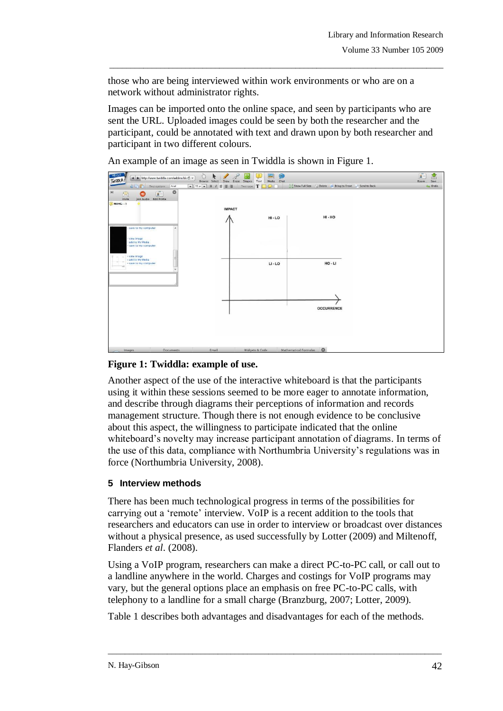those who are being interviewed within work environments or who are on a network without administrator rights.

Images can be imported onto the online space, and seen by participants who are sent the URL. Uploaded images could be seen by both the researcher and the participant, could be annotated with text and drawn upon by both researcher and participant in two different colours.

\_\_\_\_\_\_\_\_\_\_\_\_\_\_\_\_\_\_\_\_\_\_\_\_\_\_\_\_\_\_\_\_\_\_\_\_\_\_\_\_\_\_\_\_\_\_\_\_\_\_\_\_\_\_\_\_\_\_\_\_\_\_\_\_\_\_\_\_\_\_\_\_\_\_\_\_\_\_\_

An example of an image as seen in Twiddla is shown in Figure 1.



## **Figure 1: Twiddla: example of use.**

Another aspect of the use of the interactive whiteboard is that the participants using it within these sessions seemed to be more eager to annotate information, and describe through diagrams their perceptions of information and records management structure. Though there is not enough evidence to be conclusive about this aspect, the willingness to participate indicated that the online whiteboard's novelty may increase participant annotation of diagrams. In terms of the use of this data, compliance with Northumbria University's regulations was in force (Northumbria University, 2008).

## **5 Interview methods**

There has been much technological progress in terms of the possibilities for carrying out a 'remote' interview. VoIP is a recent addition to the tools that researchers and educators can use in order to interview or broadcast over distances without a physical presence, as used successfully by Lotter (2009) and Miltenoff, Flanders *et al*. (2008).

Using a VoIP program, researchers can make a direct PC-to-PC call, or call out to a landline anywhere in the world. Charges and costings for VoIP programs may vary, but the general options place an emphasis on free PC-to-PC calls, with telephony to a landline for a small charge (Branzburg, 2007; Lotter, 2009).

\_\_\_\_\_\_\_\_\_\_\_\_\_\_\_\_\_\_\_\_\_\_\_\_\_\_\_\_\_\_\_\_\_\_\_\_\_\_\_\_\_\_\_\_\_\_\_\_\_\_\_\_\_\_\_\_\_\_\_\_\_\_\_\_\_\_\_\_\_\_\_\_\_\_\_\_\_\_\_

Table 1 describes both advantages and disadvantages for each of the methods.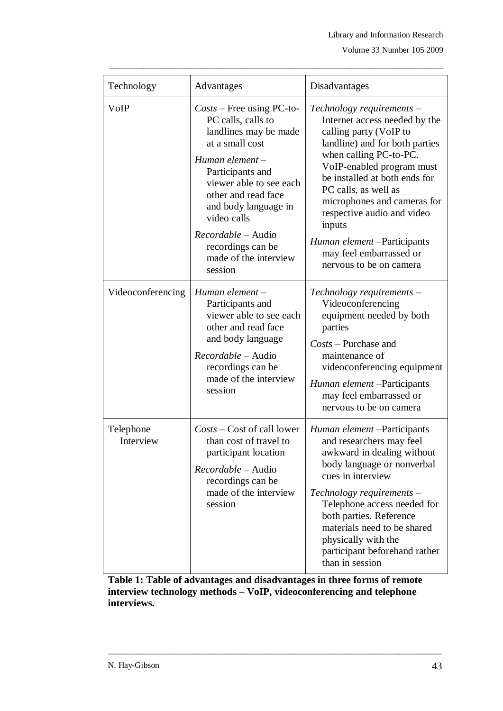| Technology             | Advantages                                                                                                                                                                                                                                                                                                     | Disadvantages                                                                                                                                                                                                                                                                                                                                                                                       |
|------------------------|----------------------------------------------------------------------------------------------------------------------------------------------------------------------------------------------------------------------------------------------------------------------------------------------------------------|-----------------------------------------------------------------------------------------------------------------------------------------------------------------------------------------------------------------------------------------------------------------------------------------------------------------------------------------------------------------------------------------------------|
| VoIP                   | $Costs$ – Free using PC-to-<br>PC calls, calls to<br>landlines may be made<br>at a small cost<br>Human element $-$<br>Participants and<br>viewer able to see each<br>other and read face<br>and body language in<br>video calls<br>Recordable - Audio<br>recordings can be<br>made of the interview<br>session | Technology requirements -<br>Internet access needed by the<br>calling party (VoIP to<br>landline) and for both parties<br>when calling PC-to-PC.<br>VoIP-enabled program must<br>be installed at both ends for<br>PC calls, as well as<br>microphones and cameras for<br>respective audio and video<br>inputs<br>Human element - Participants<br>may feel embarrassed or<br>nervous to be on camera |
| Videoconferencing      | Human element-<br>Participants and<br>viewer able to see each<br>other and read face<br>and body language<br><i>Recordable</i> – Audio<br>recordings can be<br>made of the interview<br>session                                                                                                                | Technology requirements -<br>Videoconferencing<br>equipment needed by both<br>parties<br>$Costs$ – Purchase and<br>maintenance of<br>videoconferencing equipment<br>Human element - Participants<br>may feel embarrassed or<br>nervous to be on camera                                                                                                                                              |
| Telephone<br>Interview | Costs - Cost of call lower<br>than cost of travel to<br>participant location<br>Recordable - Audio<br>recordings can be<br>made of the interview<br>session                                                                                                                                                    | Human element -Participants<br>and researchers may feel<br>awkward in dealing without<br>body language or nonverbal<br>cues in interview<br>Technology requirements -<br>Telephone access needed for<br>both parties. Reference<br>materials need to be shared<br>physically with the<br>participant beforehand rather<br>than in session                                                           |

\_\_\_\_\_\_\_\_\_\_\_\_\_\_\_\_\_\_\_\_\_\_\_\_\_\_\_\_\_\_\_\_\_\_\_\_\_\_\_\_\_\_\_\_\_\_\_\_\_\_\_\_\_\_\_\_\_\_\_\_\_\_\_\_\_\_\_\_\_\_\_\_\_\_\_\_\_\_\_

**Table 1: Table of advantages and disadvantages in three forms of remote interview technology methods – VoIP, videoconferencing and telephone interviews.**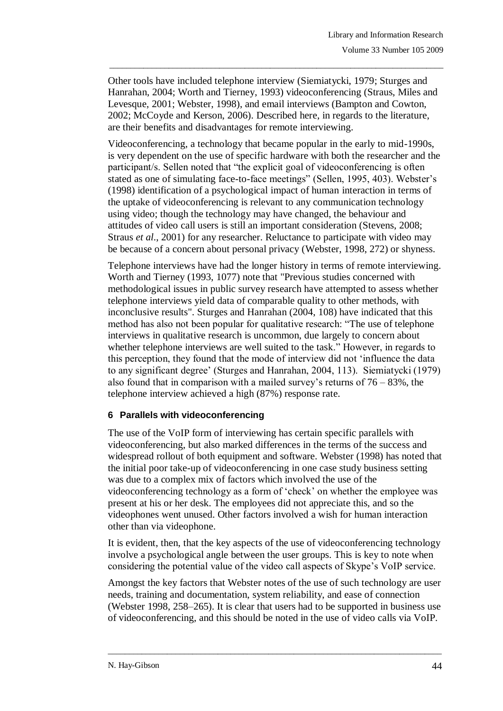Other tools have included telephone interview (Siemiatycki, 1979; Sturges and Hanrahan, 2004; Worth and Tierney, 1993) videoconferencing (Straus, Miles and Levesque, 2001; Webster, 1998), and email interviews (Bampton and Cowton, 2002; McCoyde and Kerson, 2006). Described here, in regards to the literature, are their benefits and disadvantages for remote interviewing.

\_\_\_\_\_\_\_\_\_\_\_\_\_\_\_\_\_\_\_\_\_\_\_\_\_\_\_\_\_\_\_\_\_\_\_\_\_\_\_\_\_\_\_\_\_\_\_\_\_\_\_\_\_\_\_\_\_\_\_\_\_\_\_\_\_\_\_\_\_\_\_\_\_\_\_\_\_\_\_

Videoconferencing, a technology that became popular in the early to mid-1990s, is very dependent on the use of specific hardware with both the researcher and the participant/s. Sellen noted that "the explicit goal of videoconferencing is often stated as one of simulating face-to-face meetings" (Sellen, 1995, 403). Webster's (1998) identification of a psychological impact of human interaction in terms of the uptake of videoconferencing is relevant to any communication technology using video; though the technology may have changed, the behaviour and attitudes of video call users is still an important consideration (Stevens, 2008; Straus *et al*., 2001) for any researcher. Reluctance to participate with video may be because of a concern about personal privacy (Webster, 1998, 272) or shyness.

Telephone interviews have had the longer history in terms of remote interviewing. Worth and Tierney (1993, 1077) note that "Previous studies concerned with methodological issues in public survey research have attempted to assess whether telephone interviews yield data of comparable quality to other methods, with inconclusive results". Sturges and Hanrahan (2004, 108) have indicated that this method has also not been popular for qualitative research: "The use of telephone interviews in qualitative research is uncommon, due largely to concern about whether telephone interviews are well suited to the task." However, in regards to this perception, they found that the mode of interview did not 'influence the data to any significant degree' (Sturges and Hanrahan, 2004, 113). Siemiatycki (1979) also found that in comparison with a mailed survey's returns of 76 – 83%, the telephone interview achieved a high (87%) response rate.

## **6 Parallels with videoconferencing**

The use of the VoIP form of interviewing has certain specific parallels with videoconferencing, but also marked differences in the terms of the success and widespread rollout of both equipment and software. Webster (1998) has noted that the initial poor take-up of videoconferencing in one case study business setting was due to a complex mix of factors which involved the use of the videoconferencing technology as a form of 'check' on whether the employee was present at his or her desk. The employees did not appreciate this, and so the videophones went unused. Other factors involved a wish for human interaction other than via videophone.

It is evident, then, that the key aspects of the use of videoconferencing technology involve a psychological angle between the user groups. This is key to note when considering the potential value of the video call aspects of Skype's VoIP service.

Amongst the key factors that Webster notes of the use of such technology are user needs, training and documentation, system reliability, and ease of connection (Webster 1998, 258–265). It is clear that users had to be supported in business use of videoconferencing, and this should be noted in the use of video calls via VoIP.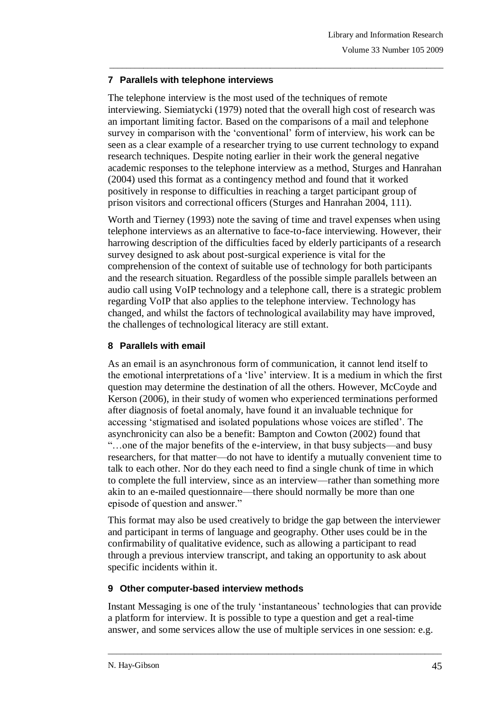## **7 Parallels with telephone interviews**

The telephone interview is the most used of the techniques of remote interviewing. Siemiatycki (1979) noted that the overall high cost of research was an important limiting factor. Based on the comparisons of a mail and telephone survey in comparison with the 'conventional' form of interview, his work can be seen as a clear example of a researcher trying to use current technology to expand research techniques. Despite noting earlier in their work the general negative academic responses to the telephone interview as a method, Sturges and Hanrahan (2004) used this format as a contingency method and found that it worked positively in response to difficulties in reaching a target participant group of prison visitors and correctional officers (Sturges and Hanrahan 2004, 111).

\_\_\_\_\_\_\_\_\_\_\_\_\_\_\_\_\_\_\_\_\_\_\_\_\_\_\_\_\_\_\_\_\_\_\_\_\_\_\_\_\_\_\_\_\_\_\_\_\_\_\_\_\_\_\_\_\_\_\_\_\_\_\_\_\_\_\_\_\_\_\_\_\_\_\_\_\_\_\_

Worth and Tierney (1993) note the saving of time and travel expenses when using telephone interviews as an alternative to face-to-face interviewing. However, their harrowing description of the difficulties faced by elderly participants of a research survey designed to ask about post-surgical experience is vital for the comprehension of the context of suitable use of technology for both participants and the research situation. Regardless of the possible simple parallels between an audio call using VoIP technology and a telephone call, there is a strategic problem regarding VoIP that also applies to the telephone interview. Technology has changed, and whilst the factors of technological availability may have improved, the challenges of technological literacy are still extant.

# **8 Parallels with email**

As an email is an asynchronous form of communication, it cannot lend itself to the emotional interpretations of a 'live' interview. It is a medium in which the first question may determine the destination of all the others. However, McCoyde and Kerson (2006), in their study of women who experienced terminations performed after diagnosis of foetal anomaly, have found it an invaluable technique for accessing ‗stigmatised and isolated populations whose voices are stifled'. The asynchronicity can also be a benefit: Bampton and Cowton (2002) found that ―…one of the major benefits of the e-interview, in that busy subjects—and busy researchers, for that matter—do not have to identify a mutually convenient time to talk to each other. Nor do they each need to find a single chunk of time in which to complete the full interview, since as an interview—rather than something more akin to an e-mailed questionnaire—there should normally be more than one episode of question and answer."

This format may also be used creatively to bridge the gap between the interviewer and participant in terms of language and geography. Other uses could be in the confirmability of qualitative evidence, such as allowing a participant to read through a previous interview transcript, and taking an opportunity to ask about specific incidents within it.

## **9 Other computer-based interview methods**

Instant Messaging is one of the truly ‗instantaneous' technologies that can provide a platform for interview. It is possible to type a question and get a real-time answer, and some services allow the use of multiple services in one session: e.g.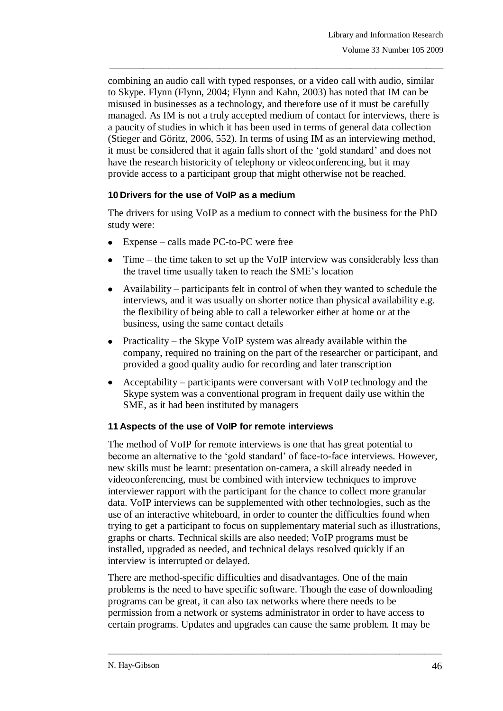combining an audio call with typed responses, or a video call with audio, similar to Skype. Flynn (Flynn, 2004; Flynn and Kahn, 2003) has noted that IM can be misused in businesses as a technology, and therefore use of it must be carefully managed. As IM is not a truly accepted medium of contact for interviews, there is a paucity of studies in which it has been used in terms of general data collection (Stieger and Göritz, 2006, 552). In terms of using IM as an interviewing method, it must be considered that it again falls short of the ‗gold standard' and does not have the research historicity of telephony or videoconferencing, but it may provide access to a participant group that might otherwise not be reached.

\_\_\_\_\_\_\_\_\_\_\_\_\_\_\_\_\_\_\_\_\_\_\_\_\_\_\_\_\_\_\_\_\_\_\_\_\_\_\_\_\_\_\_\_\_\_\_\_\_\_\_\_\_\_\_\_\_\_\_\_\_\_\_\_\_\_\_\_\_\_\_\_\_\_\_\_\_\_\_

## **10 Drivers for the use of VoIP as a medium**

The drivers for using VoIP as a medium to connect with the business for the PhD study were:

- Expense calls made PC-to-PC were free
- Time the time taken to set up the VoIP interview was considerably less than the travel time usually taken to reach the SME's location
- Availability participants felt in control of when they wanted to schedule the interviews, and it was usually on shorter notice than physical availability e.g. the flexibility of being able to call a teleworker either at home or at the business, using the same contact details
- Practicality the Skype VoIP system was already available within the company, required no training on the part of the researcher or participant, and provided a good quality audio for recording and later transcription
- Acceptability participants were conversant with VoIP technology and the Skype system was a conventional program in frequent daily use within the SME, as it had been instituted by managers

## **11 Aspects of the use of VoIP for remote interviews**

The method of VoIP for remote interviews is one that has great potential to become an alternative to the 'gold standard' of face-to-face interviews. However, new skills must be learnt: presentation on-camera, a skill already needed in videoconferencing, must be combined with interview techniques to improve interviewer rapport with the participant for the chance to collect more granular data. VoIP interviews can be supplemented with other technologies, such as the use of an interactive whiteboard, in order to counter the difficulties found when trying to get a participant to focus on supplementary material such as illustrations, graphs or charts. Technical skills are also needed; VoIP programs must be installed, upgraded as needed, and technical delays resolved quickly if an interview is interrupted or delayed.

There are method-specific difficulties and disadvantages. One of the main problems is the need to have specific software. Though the ease of downloading programs can be great, it can also tax networks where there needs to be permission from a network or systems administrator in order to have access to certain programs. Updates and upgrades can cause the same problem. It may be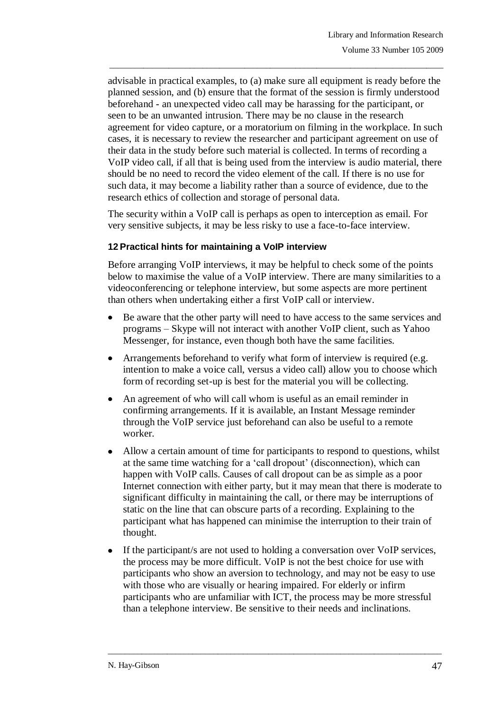advisable in practical examples, to (a) make sure all equipment is ready before the planned session, and (b) ensure that the format of the session is firmly understood beforehand - an unexpected video call may be harassing for the participant, or seen to be an unwanted intrusion. There may be no clause in the research agreement for video capture, or a moratorium on filming in the workplace. In such cases, it is necessary to review the researcher and participant agreement on use of their data in the study before such material is collected. In terms of recording a VoIP video call, if all that is being used from the interview is audio material, there should be no need to record the video element of the call. If there is no use for such data, it may become a liability rather than a source of evidence, due to the research ethics of collection and storage of personal data.

\_\_\_\_\_\_\_\_\_\_\_\_\_\_\_\_\_\_\_\_\_\_\_\_\_\_\_\_\_\_\_\_\_\_\_\_\_\_\_\_\_\_\_\_\_\_\_\_\_\_\_\_\_\_\_\_\_\_\_\_\_\_\_\_\_\_\_\_\_\_\_\_\_\_\_\_\_\_\_

The security within a VoIP call is perhaps as open to interception as email. For very sensitive subjects, it may be less risky to use a face-to-face interview.

## **12Practical hints for maintaining a VoIP interview**

Before arranging VoIP interviews, it may be helpful to check some of the points below to maximise the value of a VoIP interview. There are many similarities to a videoconferencing or telephone interview, but some aspects are more pertinent than others when undertaking either a first VoIP call or interview.

- Be aware that the other party will need to have access to the same services and programs – Skype will not interact with another VoIP client, such as Yahoo Messenger, for instance, even though both have the same facilities.
- Arrangements beforehand to verify what form of interview is required (e.g. intention to make a voice call, versus a video call) allow you to choose which form of recording set-up is best for the material you will be collecting.
- An agreement of who will call whom is useful as an email reminder in confirming arrangements. If it is available, an Instant Message reminder through the VoIP service just beforehand can also be useful to a remote worker.
- Allow a certain amount of time for participants to respond to questions, whilst at the same time watching for a 'call dropout' (disconnection), which can happen with VoIP calls. Causes of call dropout can be as simple as a poor Internet connection with either party, but it may mean that there is moderate to significant difficulty in maintaining the call, or there may be interruptions of static on the line that can obscure parts of a recording. Explaining to the participant what has happened can minimise the interruption to their train of thought.
- If the participant/s are not used to holding a conversation over VoIP services, the process may be more difficult. VoIP is not the best choice for use with participants who show an aversion to technology, and may not be easy to use with those who are visually or hearing impaired. For elderly or infirm participants who are unfamiliar with ICT, the process may be more stressful than a telephone interview. Be sensitive to their needs and inclinations.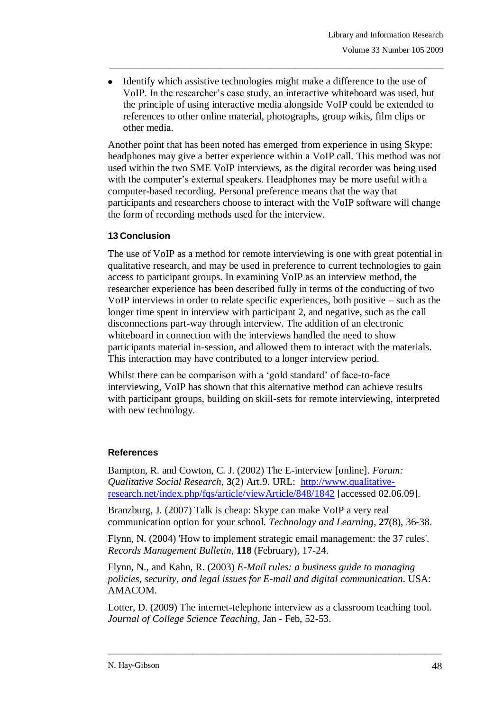Identify which assistive technologies might make a difference to the use of VoIP. In the researcher's case study, an interactive whiteboard was used, but the principle of using interactive media alongside VoIP could be extended to references to other online material, photographs, group wikis, film clips or other media.

\_\_\_\_\_\_\_\_\_\_\_\_\_\_\_\_\_\_\_\_\_\_\_\_\_\_\_\_\_\_\_\_\_\_\_\_\_\_\_\_\_\_\_\_\_\_\_\_\_\_\_\_\_\_\_\_\_\_\_\_\_\_\_\_\_\_\_\_\_\_\_\_\_\_\_\_\_\_\_

Another point that has been noted has emerged from experience in using Skype: headphones may give a better experience within a VoIP call. This method was not used within the two SME VoIP interviews, as the digital recorder was being used with the computer's external speakers. Headphones may be more useful with a computer-based recording. Personal preference means that the way that participants and researchers choose to interact with the VoIP software will change the form of recording methods used for the interview.

## **13 Conclusion**

The use of VoIP as a method for remote interviewing is one with great potential in qualitative research, and may be used in preference to current technologies to gain access to participant groups. In examining VoIP as an interview method, the researcher experience has been described fully in terms of the conducting of two VoIP interviews in order to relate specific experiences, both positive – such as the longer time spent in interview with participant 2, and negative, such as the call disconnections part-way through interview. The addition of an electronic whiteboard in connection with the interviews handled the need to show participants material in-session, and allowed them to interact with the materials. This interaction may have contributed to a longer interview period.

Whilst there can be comparison with a 'gold standard' of face-to-face interviewing, VoIP has shown that this alternative method can achieve results with participant groups, building on skill-sets for remote interviewing, interpreted with new technology.

## **References**

Bampton, R. and Cowton, C. J. (2002) The E-interview [online]. *Forum: Qualitative Social Research*, **3**(2) Art.9. URL: [http://www.qualitative](http://www.qualitative-research.net/index.php/fqs/article/viewArticle/848/1842)[research.net/index.php/fqs/article/viewArticle/848/1842](http://www.qualitative-research.net/index.php/fqs/article/viewArticle/848/1842) [accessed 02.06.09].

Branzburg, J. (2007) Talk is cheap: Skype can make VoIP a very real communication option for your school. *Technology and Learning*, **27**(8), 36-38.

Flynn, N. (2004) 'How to implement strategic email management: the 37 rules'. *Records Management Bulletin*, **118** (February), 17-24.

Flynn, N., and Kahn, R. (2003) *E-Mail rules: a business guide to managing policies, security, and legal issues for E-mail and digital communication*. USA: AMACOM.

Lotter, D. (2009) The internet-telephone interview as a classroom teaching tool. *Journal of College Science Teaching*, Jan - Feb, 52-53.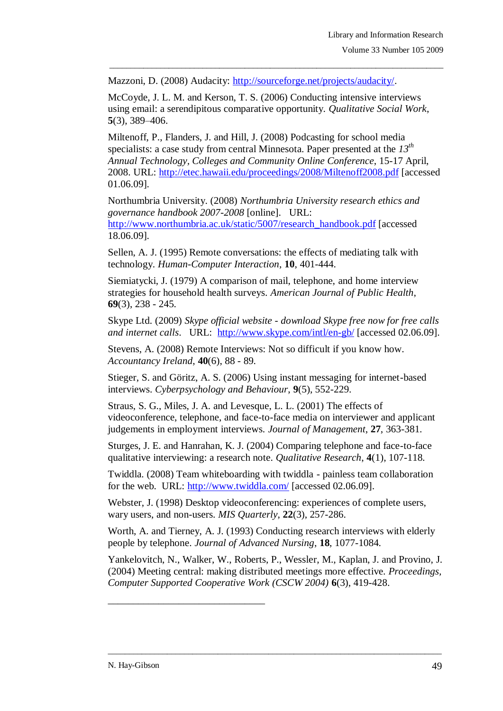Mazzoni, D. (2008) Audacity: [http://sourceforge.net/projects/audacity/.](http://sourceforge.net/projects/audacity/)

McCoyde, J. L. M. and Kerson, T. S. (2006) Conducting intensive interviews using email: a serendipitous comparative opportunity. *Qualitative Social Work*, **5**(3), 389–406.

\_\_\_\_\_\_\_\_\_\_\_\_\_\_\_\_\_\_\_\_\_\_\_\_\_\_\_\_\_\_\_\_\_\_\_\_\_\_\_\_\_\_\_\_\_\_\_\_\_\_\_\_\_\_\_\_\_\_\_\_\_\_\_\_\_\_\_\_\_\_\_\_\_\_\_\_\_\_\_

Miltenoff, P., Flanders, J. and Hill, J. (2008) Podcasting for school media specialists: a case study from central Minnesota. Paper presented at the *13th Annual Technology, Colleges and Community Online Conference*, 15-17 April, 2008. URL:<http://etec.hawaii.edu/proceedings/2008/Miltenoff2008.pdf> [accessed 01.06.09].

Northumbria University. (2008) *Northumbria University research ethics and governance handbook 2007-2008* [online]. URL: [http://www.northumbria.ac.uk/static/5007/research\\_handbook.pdf](http://www.northumbria.ac.uk/static/5007/research_handbook.pdf) [accessed 18.06.09].

Sellen, A. J. (1995) Remote conversations: the effects of mediating talk with technology. *Human-Computer Interaction*, **10**, 401-444.

Siemiatycki, J. (1979) A comparison of mail, telephone, and home interview strategies for household health surveys. *American Journal of Public Health*, **69**(3), 238 - 245.

Skype Ltd. (2009) *Skype official website - download Skype free now for free calls and internet calls.* URL: <http://www.skype.com/intl/en-gb/> [accessed 02.06.09].

Stevens, A. (2008) Remote Interviews: Not so difficult if you know how. *Accountancy Ireland*, **40**(6), 88 - 89.

Stieger, S. and Göritz, A. S. (2006) Using instant messaging for internet-based interviews. *Cyberpsychology and Behaviour*, **9**(5), 552-229.

Straus, S. G., Miles, J. A. and Levesque, L. L. (2001) The effects of videoconference, telephone, and face-to-face media on interviewer and applicant judgements in employment interviews. *Journal of Management*, **27**, 363-381.

Sturges, J. E. and Hanrahan, K. J. (2004) Comparing telephone and face-to-face qualitative interviewing: a research note. *Qualitative Research*, **4**(1), 107-118.

Twiddla. (2008) Team whiteboarding with twiddla - painless team collaboration for the web. URL:<http://www.twiddla.com/> [accessed 02.06.09].

Webster, J. (1998) Desktop videoconferencing: experiences of complete users, wary users, and non-users. *MIS Quarterly*, **22**(3), 257-286.

Worth, A. and Tierney, A. J. (1993) Conducting research interviews with elderly people by telephone. *Journal of Advanced Nursing*, **18**, 1077-1084.

Yankelovitch, N., Walker, W., Roberts, P., Wessler, M., Kaplan, J. and Provino, J. (2004) Meeting central: making distributed meetings more effective. *Proceedings, Computer Supported Cooperative Work (CSCW 2004)* **6**(3), 419-428.

\_\_\_\_\_\_\_\_\_\_\_\_\_\_\_\_\_\_\_\_\_\_\_\_\_\_\_\_\_\_\_\_\_\_\_\_\_\_\_\_\_\_\_\_\_\_\_\_\_\_\_\_\_\_\_\_\_\_\_\_\_\_\_\_\_\_\_\_\_\_\_\_\_\_\_\_\_\_\_

\_\_\_\_\_\_\_\_\_\_\_\_\_\_\_\_\_\_\_\_\_\_\_\_\_\_\_\_\_\_\_